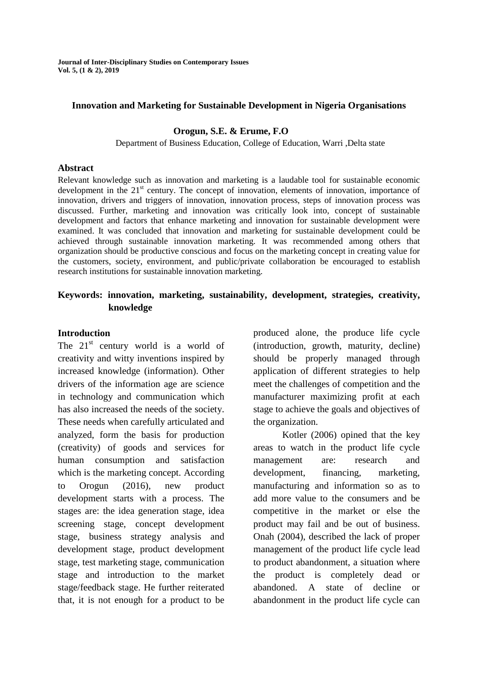**Journal of Inter-Disciplinary Studies on Contemporary Issues Vol. 5, (1 & 2), 2019**

#### **Innovation and Marketing for Sustainable Development in Nigeria Organisations**

#### **Orogun, S.E. & Erume, F.O**

Department of Business Education, College of Education, Warri ,Delta state

#### **Abstract**

Relevant knowledge such as innovation and marketing is a laudable tool for sustainable economic development in the  $21<sup>st</sup>$  century. The concept of innovation, elements of innovation, importance of innovation, drivers and triggers of innovation, innovation process, steps of innovation process was discussed. Further, marketing and innovation was critically look into, concept of sustainable development and factors that enhance marketing and innovation for sustainable development were examined. It was concluded that innovation and marketing for sustainable development could be achieved through sustainable innovation marketing. It was recommended among others that organization should be productive conscious and focus on the marketing concept in creating value for the customers, society, environment, and public/private collaboration be encouraged to establish research institutions for sustainable innovation marketing.

### **Keywords: innovation, marketing, sustainability, development, strategies, creativity, knowledge**

#### **Introduction**

The  $21<sup>st</sup>$  century world is a world of creativity and witty inventions inspired by increased knowledge (information). Other drivers of the information age are science in technology and communication which has also increased the needs of the society. These needs when carefully articulated and analyzed, form the basis for production (creativity) of goods and services for human consumption and satisfaction which is the marketing concept. According to Orogun (2016), new product development starts with a process. The stages are: the idea generation stage, idea screening stage, concept development stage, business strategy analysis and development stage, product development stage, test marketing stage, communication stage and introduction to the market stage/feedback stage. He further reiterated that, it is not enough for a product to be produced alone, the produce life cycle (introduction, growth, maturity, decline) should be properly managed through application of different strategies to help meet the challenges of competition and the manufacturer maximizing profit at each stage to achieve the goals and objectives of the organization.

Kotler (2006) opined that the key areas to watch in the product life cycle management are: research and development, financing, marketing, manufacturing and information so as to add more value to the consumers and be competitive in the market or else the product may fail and be out of business. Onah (2004), described the lack of proper management of the product life cycle lead to product abandonment, a situation where the product is completely dead or abandoned. A state of decline or abandonment in the product life cycle can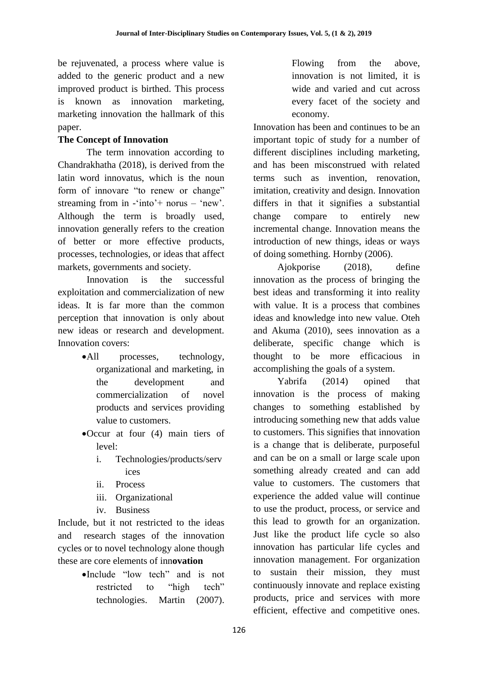be rejuvenated, a process where value is added to the generic product and a new improved product is birthed. This process is known as innovation marketing, marketing innovation the hallmark of this paper.

# **The Concept of Innovation**

The term innovation according to Chandrakhatha (2018), is derived from the latin word innovatus, which is the noun form of innovare "to renew or change" streaming from in  $\text{-}$  into  $\text{+}$  norus  $\text{-}$  'new'. Although the term is broadly used, innovation generally refers to the creation of better or more effective products, processes, technologies, or ideas that affect markets, governments and society.

Innovation is the successful exploitation and commercialization of new ideas. It is far more than the common perception that innovation is only about new ideas or research and development. Innovation covers:

- All processes, technology, organizational and marketing, in the development and commercialization of novel products and services providing value to customers.
- Occur at four (4) main tiers of level:
	- i. Technologies/products/serv ices
	- ii. Process
	- iii. Organizational
	- iv. Business

Include, but it not restricted to the ideas and research stages of the innovation cycles or to novel technology alone though these are core elements of inn**ovation**

> Include "low tech" and is not restricted to "high tech" technologies. Martin (2007).

Flowing from the above, innovation is not limited, it is wide and varied and cut across every facet of the society and economy.

Innovation has been and continues to be an important topic of study for a number of different disciplines including marketing, and has been misconstrued with related terms such as invention, renovation, imitation, creativity and design. Innovation differs in that it signifies a substantial change compare to entirely new incremental change. Innovation means the introduction of new things, ideas or ways of doing something. Hornby (2006).

Ajokporise (2018), define innovation as the process of bringing the best ideas and transforming it into reality with value. It is a process that combines ideas and knowledge into new value. Oteh and Akuma (2010), sees innovation as a deliberate, specific change which is thought to be more efficacious in accomplishing the goals of a system.

Yabrifa (2014) opined that innovation is the process of making changes to something established by introducing something new that adds value to customers. This signifies that innovation is a change that is deliberate, purposeful and can be on a small or large scale upon something already created and can add value to customers. The customers that experience the added value will continue to use the product, process, or service and this lead to growth for an organization. Just like the product life cycle so also innovation has particular life cycles and innovation management. For organization to sustain their mission, they must continuously innovate and replace existing products, price and services with more efficient, effective and competitive ones.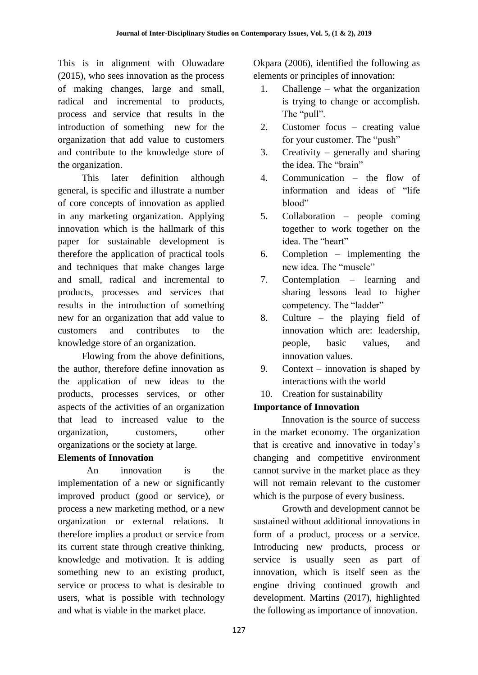This is in alignment with Oluwadare (2015), who sees innovation as the process of making changes, large and small, radical and incremental to products, process and service that results in the introduction of something new for the organization that add value to customers and contribute to the knowledge store of the organization.

This later definition although general, is specific and illustrate a number of core concepts of innovation as applied in any marketing organization. Applying innovation which is the hallmark of this paper for sustainable development is therefore the application of practical tools and techniques that make changes large and small, radical and incremental to products, processes and services that results in the introduction of something new for an organization that add value to customers and contributes to the knowledge store of an organization.

Flowing from the above definitions, the author, therefore define innovation as the application of new ideas to the products, processes services, or other aspects of the activities of an organization that lead to increased value to the organization, customers, other organizations or the society at large.

# **Elements of Innovation**

An innovation is the implementation of a new or significantly improved product (good or service), or process a new marketing method, or a new organization or external relations. It therefore implies a product or service from its current state through creative thinking, knowledge and motivation. It is adding something new to an existing product, service or process to what is desirable to users, what is possible with technology and what is viable in the market place.

Okpara (2006), identified the following as elements or principles of innovation:

- 1. Challenge what the organization is trying to change or accomplish. The "pull".
- 2. Customer focus creating value for your customer. The "push"
- 3. Creativity generally and sharing the idea. The "brain"
- 4. Communication the flow of information and ideas of "life blood"
- 5. Collaboration people coming together to work together on the idea. The "heart"
- 6. Completion implementing the new idea. The "muscle"
- 7. Contemplation learning and sharing lessons lead to higher competency. The "ladder"
- 8. Culture the playing field of innovation which are: leadership, people, basic values, and innovation values.
- 9. Context innovation is shaped by interactions with the world
- 10. Creation for sustainability

# **Importance of Innovation**

Innovation is the source of success in the market economy. The organization that is creative and innovative in today"s changing and competitive environment cannot survive in the market place as they will not remain relevant to the customer which is the purpose of every business.

Growth and development cannot be sustained without additional innovations in form of a product, process or a service. Introducing new products, process or service is usually seen as part of innovation, which is itself seen as the engine driving continued growth and development. Martins (2017), highlighted the following as importance of innovation.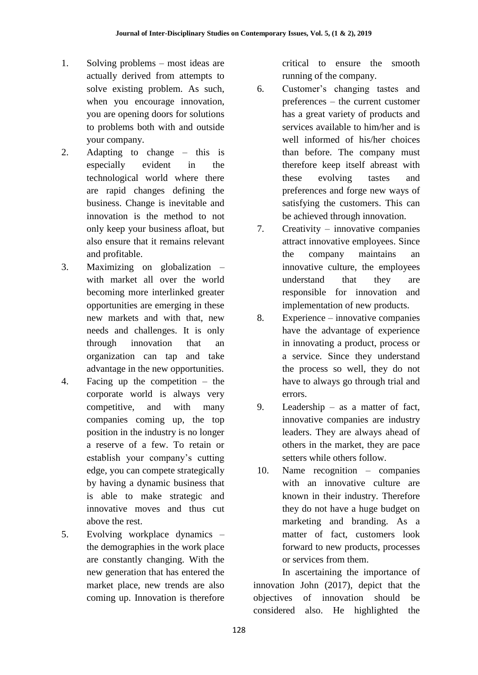- 1. Solving problems most ideas are actually derived from attempts to solve existing problem. As such, when you encourage innovation, you are opening doors for solutions to problems both with and outside your company.
- 2. Adapting to change this is especially evident in the technological world where there are rapid changes defining the business. Change is inevitable and innovation is the method to not only keep your business afloat, but also ensure that it remains relevant and profitable.
- 3. Maximizing on globalization with market all over the world becoming more interlinked greater opportunities are emerging in these new markets and with that, new needs and challenges. It is only through innovation that an organization can tap and take advantage in the new opportunities.
- 4. Facing up the competition the corporate world is always very competitive, and with many companies coming up, the top position in the industry is no longer a reserve of a few. To retain or establish your company's cutting edge, you can compete strategically by having a dynamic business that is able to make strategic and innovative moves and thus cut above the rest.
- 5. Evolving workplace dynamics the demographies in the work place are constantly changing. With the new generation that has entered the market place, new trends are also coming up. Innovation is therefore

critical to ensure the smooth running of the company.

- 6. Customer"s changing tastes and preferences – the current customer has a great variety of products and services available to him/her and is well informed of his/her choices than before. The company must therefore keep itself abreast with these evolving tastes and preferences and forge new ways of satisfying the customers. This can be achieved through innovation.
- 7. Creativity innovative companies attract innovative employees. Since the company maintains an innovative culture, the employees understand that they are responsible for innovation and implementation of new products.
- 8. Experience innovative companies have the advantage of experience in innovating a product, process or a service. Since they understand the process so well, they do not have to always go through trial and errors.
- 9. Leadership as a matter of fact, innovative companies are industry leaders. They are always ahead of others in the market, they are pace setters while others follow.
- 10. Name recognition companies with an innovative culture are known in their industry. Therefore they do not have a huge budget on marketing and branding. As a matter of fact, customers look forward to new products, processes or services from them.

In ascertaining the importance of innovation John (2017), depict that the objectives of innovation should be considered also. He highlighted the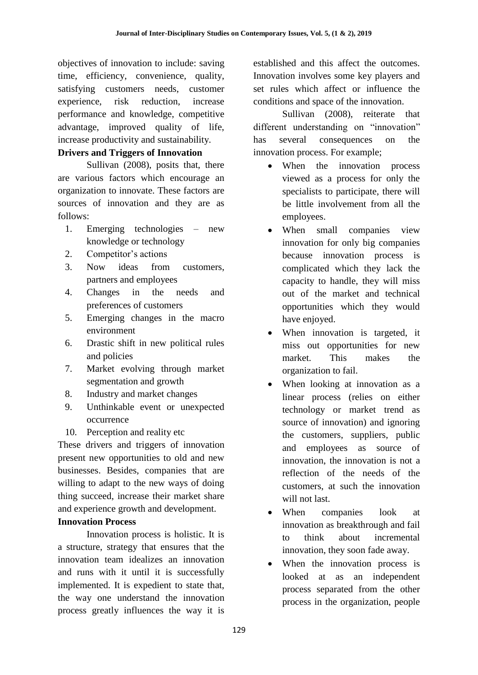objectives of innovation to include: saving time, efficiency, convenience, quality, satisfying customers needs, customer experience, risk reduction, increase performance and knowledge, competitive advantage, improved quality of life, increase productivity and sustainability.

### **Drivers and Triggers of Innovation**

Sullivan (2008), posits that, there are various factors which encourage an organization to innovate. These factors are sources of innovation and they are as follows:

- 1. Emerging technologies new knowledge or technology
- 2. Competitor's actions
- 3. Now ideas from customers, partners and employees
- 4. Changes in the needs and preferences of customers
- 5. Emerging changes in the macro environment
- 6. Drastic shift in new political rules and policies
- 7. Market evolving through market segmentation and growth
- 8. Industry and market changes
- 9. Unthinkable event or unexpected occurrence
- 10. Perception and reality etc

These drivers and triggers of innovation present new opportunities to old and new businesses. Besides, companies that are willing to adapt to the new ways of doing thing succeed, increase their market share and experience growth and development.

# **Innovation Process**

Innovation process is holistic. It is a structure, strategy that ensures that the innovation team idealizes an innovation and runs with it until it is successfully implemented. It is expedient to state that, the way one understand the innovation process greatly influences the way it is

established and this affect the outcomes. Innovation involves some key players and set rules which affect or influence the conditions and space of the innovation.

Sullivan (2008), reiterate that different understanding on "innovation" has several consequences on the innovation process. For example;

- When the innovation process viewed as a process for only the specialists to participate, there will be little involvement from all the employees.
- When small companies view innovation for only big companies because innovation process is complicated which they lack the capacity to handle, they will miss out of the market and technical opportunities which they would have enjoyed.
- When innovation is targeted, it miss out opportunities for new market. This makes the organization to fail.
- When looking at innovation as a linear process (relies on either technology or market trend as source of innovation) and ignoring the customers, suppliers, public and employees as source of innovation, the innovation is not a reflection of the needs of the customers, at such the innovation will not last.
- When companies look at innovation as breakthrough and fail to think about incremental innovation, they soon fade away.
- When the innovation process is looked at as an independent process separated from the other process in the organization, people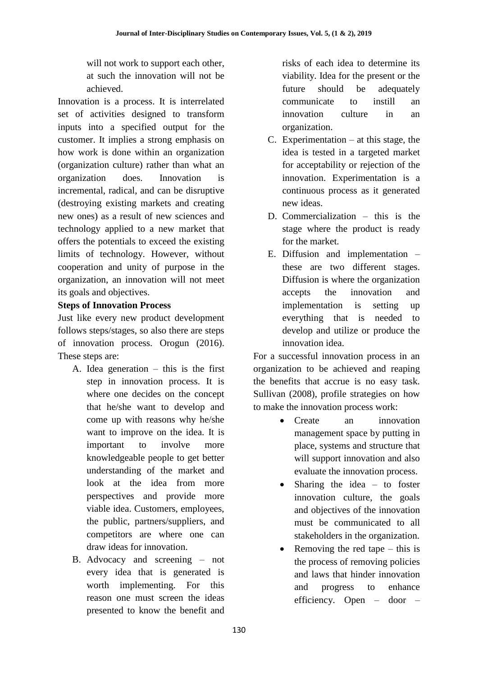will not work to support each other, at such the innovation will not be achieved.

Innovation is a process. It is interrelated set of activities designed to transform inputs into a specified output for the customer. It implies a strong emphasis on how work is done within an organization (organization culture) rather than what an organization does. Innovation is incremental, radical, and can be disruptive (destroying existing markets and creating new ones) as a result of new sciences and technology applied to a new market that offers the potentials to exceed the existing limits of technology. However, without cooperation and unity of purpose in the organization, an innovation will not meet its goals and objectives.

## **Steps of Innovation Process**

Just like every new product development follows steps/stages, so also there are steps of innovation process. Orogun (2016). These steps are:

- A. Idea generation this is the first step in innovation process. It is where one decides on the concept that he/she want to develop and come up with reasons why he/she want to improve on the idea. It is important to involve more knowledgeable people to get better understanding of the market and look at the idea from more perspectives and provide more viable idea. Customers, employees, the public, partners/suppliers, and competitors are where one can draw ideas for innovation.
- B. Advocacy and screening not every idea that is generated is worth implementing. For this reason one must screen the ideas presented to know the benefit and

risks of each idea to determine its viability. Idea for the present or the future should be adequately communicate to instill an innovation culture in an organization.

- C. Experimentation  $-$  at this stage, the idea is tested in a targeted market for acceptability or rejection of the innovation. Experimentation is a continuous process as it generated new ideas.
- D. Commercialization this is the stage where the product is ready for the market.
- E. Diffusion and implementation these are two different stages. Diffusion is where the organization accepts the innovation and implementation is setting up everything that is needed to develop and utilize or produce the innovation idea.

For a successful innovation process in an organization to be achieved and reaping the benefits that accrue is no easy task. Sullivan (2008), profile strategies on how to make the innovation process work:

- Create an innovation management space by putting in place, systems and structure that will support innovation and also evaluate the innovation process.
- Sharing the idea to foster innovation culture, the goals and objectives of the innovation must be communicated to all stakeholders in the organization.
- Removing the red tape this is the process of removing policies and laws that hinder innovation and progress to enhance efficiency. Open – door –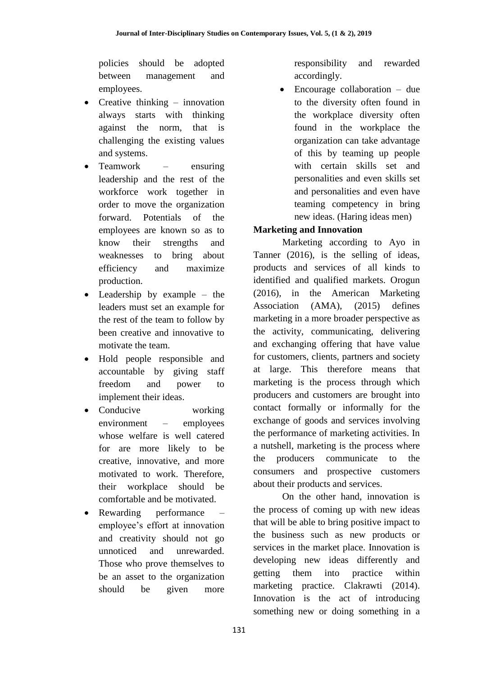policies should be adopted between management and employees.

- Creative thinking innovation always starts with thinking against the norm, that is challenging the existing values and systems.
- Teamwork ensuring leadership and the rest of the workforce work together in order to move the organization forward. Potentials of the employees are known so as to know their strengths and weaknesses to bring about efficiency and maximize production.
- Leadership by example the leaders must set an example for the rest of the team to follow by been creative and innovative to motivate the team.
- Hold people responsible and accountable by giving staff freedom and power to implement their ideas.
- Conducive working environment – employees whose welfare is well catered for are more likely to be creative, innovative, and more motivated to work. Therefore, their workplace should be comfortable and be motivated.
- Rewarding performance employee"s effort at innovation and creativity should not go unnoticed and unrewarded. Those who prove themselves to be an asset to the organization should be given more

responsibility and rewarded accordingly.

 Encourage collaboration – due to the diversity often found in the workplace diversity often found in the workplace the organization can take advantage of this by teaming up people with certain skills set and personalities and even skills set and personalities and even have teaming competency in bring new ideas. (Haring ideas men)

# **Marketing and Innovation**

Marketing according to Ayo in Tanner (2016), is the selling of ideas, products and services of all kinds to identified and qualified markets. Orogun (2016), in the American Marketing Association (AMA), (2015) defines marketing in a more broader perspective as the activity, communicating, delivering and exchanging offering that have value for customers, clients, partners and society at large. This therefore means that marketing is the process through which producers and customers are brought into contact formally or informally for the exchange of goods and services involving the performance of marketing activities. In a nutshell, marketing is the process where the producers communicate to the consumers and prospective customers about their products and services.

On the other hand, innovation is the process of coming up with new ideas that will be able to bring positive impact to the business such as new products or services in the market place. Innovation is developing new ideas differently and getting them into practice within marketing practice. Clakrawti (2014). Innovation is the act of introducing something new or doing something in a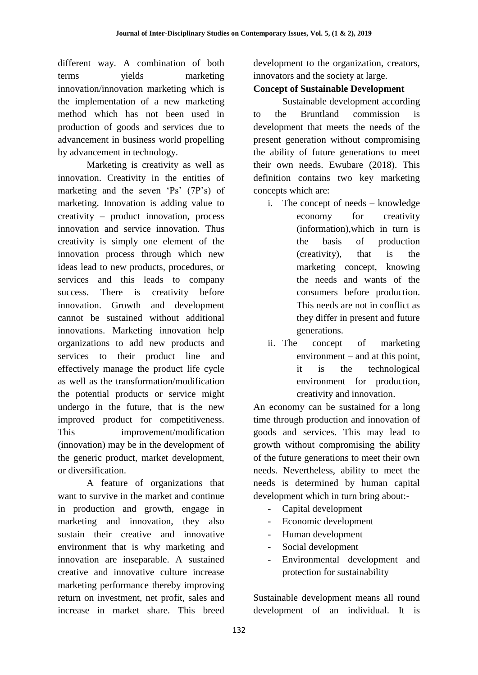different way. A combination of both terms yields marketing innovation/innovation marketing which is the implementation of a new marketing method which has not been used in production of goods and services due to advancement in business world propelling by advancement in technology.

Marketing is creativity as well as innovation. Creativity in the entities of marketing and the seven 'Ps' (7P's) of marketing. Innovation is adding value to creativity – product innovation, process innovation and service innovation. Thus creativity is simply one element of the innovation process through which new ideas lead to new products, procedures, or services and this leads to company success. There is creativity before innovation. Growth and development cannot be sustained without additional innovations. Marketing innovation help organizations to add new products and services to their product line and effectively manage the product life cycle as well as the transformation/modification the potential products or service might undergo in the future, that is the new improved product for competitiveness. This improvement/modification (innovation) may be in the development of the generic product, market development, or diversification.

A feature of organizations that want to survive in the market and continue in production and growth, engage in marketing and innovation, they also sustain their creative and innovative environment that is why marketing and innovation are inseparable. A sustained creative and innovative culture increase marketing performance thereby improving return on investment, net profit, sales and increase in market share. This breed

development to the organization, creators, innovators and the society at large.

## **Concept of Sustainable Development**

Sustainable development according to the Bruntland commission is development that meets the needs of the present generation without compromising the ability of future generations to meet their own needs. Ewubare (2018). This definition contains two key marketing concepts which are:

- i. The concept of needs knowledge economy for creativity (information),which in turn is the basis of production (creativity), that is the marketing concept, knowing the needs and wants of the consumers before production. This needs are not in conflict as they differ in present and future generations.
- ii. The concept of marketing environment – and at this point, it is the technological environment for production, creativity and innovation.

An economy can be sustained for a long time through production and innovation of goods and services. This may lead to growth without compromising the ability of the future generations to meet their own needs. Nevertheless, ability to meet the needs is determined by human capital development which in turn bring about:-

- Capital development
- Economic development
- Human development
- Social development
- Environmental development and protection for sustainability

Sustainable development means all round development of an individual. It is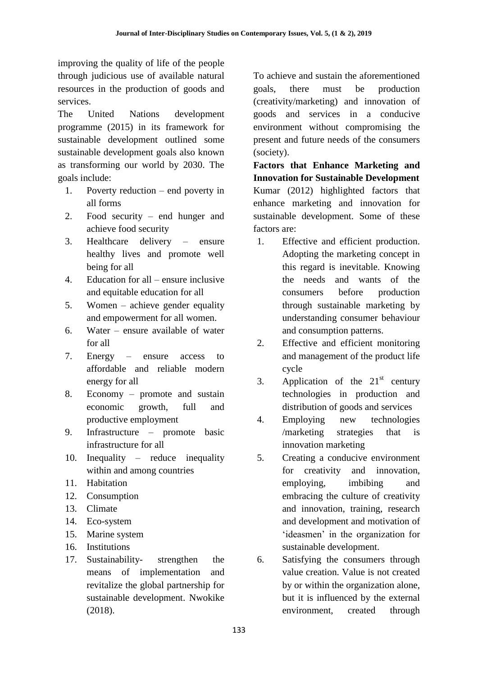improving the quality of life of the people through judicious use of available natural resources in the production of goods and services.

The United Nations development programme (2015) in its framework for sustainable development outlined some sustainable development goals also known as transforming our world by 2030. The goals include:

- 1. Poverty reduction end poverty in all forms
- 2. Food security end hunger and achieve food security
- 3. Healthcare delivery ensure healthy lives and promote well being for all
- 4. Education for all ensure inclusive and equitable education for all
- 5. Women achieve gender equality and empowerment for all women.
- 6. Water ensure available of water for all
- 7. Energy ensure access to affordable and reliable modern energy for all
- 8. Economy promote and sustain economic growth, full and productive employment
- 9. Infrastructure promote basic infrastructure for all
- 10. Inequality reduce inequality within and among countries
- 11. Habitation
- 12. Consumption
- 13. Climate
- 14. Eco-system
- 15. Marine system
- 16. Institutions
- 17. Sustainability- strengthen the means of implementation and revitalize the global partnership for sustainable development. Nwokike (2018).

To achieve and sustain the aforementioned goals, there must be production (creativity/marketing) and innovation of goods and services in a conducive environment without compromising the present and future needs of the consumers (society).

**Factors that Enhance Marketing and Innovation for Sustainable Development**  Kumar (2012) highlighted factors that enhance marketing and innovation for sustainable development. Some of these factors are:

- 1. Effective and efficient production. Adopting the marketing concept in this regard is inevitable. Knowing the needs and wants of the consumers before production through sustainable marketing by understanding consumer behaviour and consumption patterns.
- 2. Effective and efficient monitoring and management of the product life cycle
- 3. Application of the  $21<sup>st</sup>$  century technologies in production and distribution of goods and services
- 4. Employing new technologies /marketing strategies that is innovation marketing
- 5. Creating a conducive environment for creativity and innovation, employing, imbibing and embracing the culture of creativity and innovation, training, research and development and motivation of 'ideasmen' in the organization for sustainable development.
- 6. Satisfying the consumers through value creation. Value is not created by or within the organization alone, but it is influenced by the external environment, created through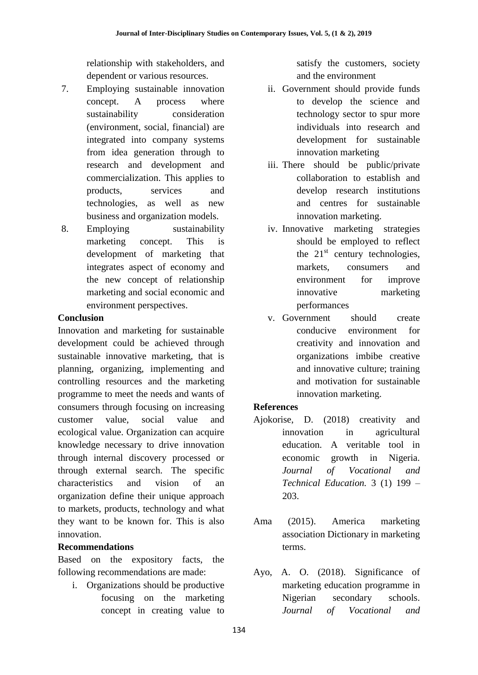relationship with stakeholders, and dependent or various resources.

- 7. Employing sustainable innovation concept. A process where sustainability consideration (environment, social, financial) are integrated into company systems from idea generation through to research and development and commercialization. This applies to products, services and technologies, as well as new business and organization models.
- 8. Employing sustainability marketing concept. This is development of marketing that integrates aspect of economy and the new concept of relationship marketing and social economic and environment perspectives.

### **Conclusion**

Innovation and marketing for sustainable development could be achieved through sustainable innovative marketing, that is planning, organizing, implementing and controlling resources and the marketing programme to meet the needs and wants of consumers through focusing on increasing customer value, social value and ecological value. Organization can acquire knowledge necessary to drive innovation through internal discovery processed or through external search. The specific characteristics and vision of an organization define their unique approach to markets, products, technology and what they want to be known for. This is also innovation.

## **Recommendations**

Based on the expository facts, the following recommendations are made:

i. Organizations should be productive focusing on the marketing concept in creating value to

satisfy the customers, society and the environment

- ii. Government should provide funds to develop the science and technology sector to spur more individuals into research and development for sustainable innovation marketing
- iii. There should be public/private collaboration to establish and develop research institutions and centres for sustainable innovation marketing.
- iv. Innovative marketing strategies should be employed to reflect the  $21<sup>st</sup>$  century technologies, markets, consumers and environment for improve innovative marketing performances
- v. Government should create conducive environment for creativity and innovation and organizations imbibe creative and innovative culture; training and motivation for sustainable innovation marketing.

## **References**

- Ajokorise, D. (2018) creativity and innovation in agricultural education. A veritable tool in economic growth in Nigeria. *Journal of Vocational and Technical Education.* 3 (1) 199 – 203.
- Ama (2015). America marketing association Dictionary in marketing terms.
- Ayo, A. O. (2018). Significance of marketing education programme in Nigerian secondary schools. *Journal of Vocational and*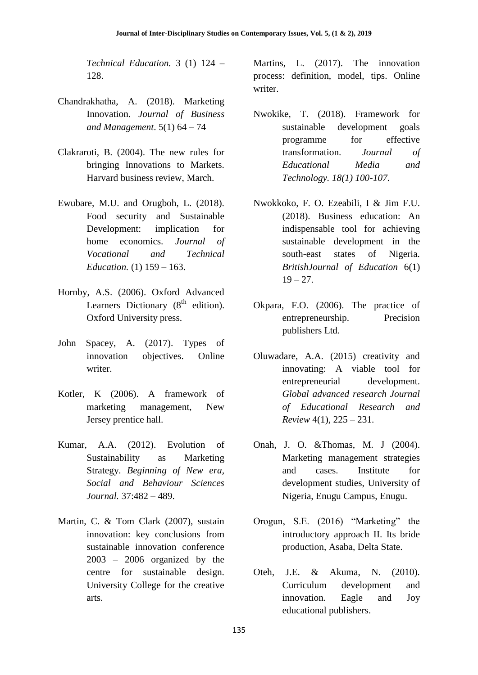*Technical Education.* 3 (1) 124 – 128.

- Chandrakhatha, A. (2018). Marketing Innovation. *Journal of Business and Management*. 5(1) 64 – 74
- Clakraroti, B. (2004). The new rules for bringing Innovations to Markets. Harvard business review, March.
- Ewubare, M.U. and Orugboh, L. (2018). Food security and Sustainable Development: implication for home economics. *Journal of Vocational and Technical Education.* (1) 159 – 163.
- Hornby, A.S. (2006). Oxford Advanced Learners Dictionary  $(8<sup>th</sup>$  edition). Oxford University press.
- John Spacey, A. (2017). Types of innovation objectives. Online writer.
- Kotler, K (2006). A framework of marketing management, New Jersey prentice hall.
- Kumar, A.A. (2012). Evolution of Sustainability as Marketing Strategy. *Beginning of New era, Social and Behaviour Sciences Journal.* 37:482 – 489.
- Martin, C. & Tom Clark (2007), sustain innovation: key conclusions from sustainable innovation conference 2003 – 2006 organized by the centre for sustainable design. University College for the creative arts.

Martins, L. (2017). The innovation process: definition, model, tips. Online writer.

- Nwokike, T. (2018). Framework for sustainable development goals programme for effective transformation. *Journal of Educational Media and Technology. 18(1) 100-107.*
- Nwokkoko, F. O. Ezeabili, I & Jim F.U. (2018). Business education: An indispensable tool for achieving sustainable development in the south-east states of Nigeria. *BritishJournal of Education* 6(1)  $19 - 27$ .
- Okpara, F.O. (2006). The practice of entrepreneurship. Precision publishers Ltd.
- Oluwadare, A.A. (2015) creativity and innovating: A viable tool for entrepreneurial development. *Global advanced research Journal of Educational Research and Review* 4(1), 225 – 231.
- Onah, J. O. &Thomas, M. J (2004). Marketing management strategies and cases. Institute for development studies, University of Nigeria, Enugu Campus, Enugu.
- Orogun, S.E. (2016) "Marketing" the introductory approach II. Its bride production, Asaba, Delta State.
- Oteh, J.E. & Akuma, N. (2010). Curriculum development and innovation. Eagle and Joy educational publishers.